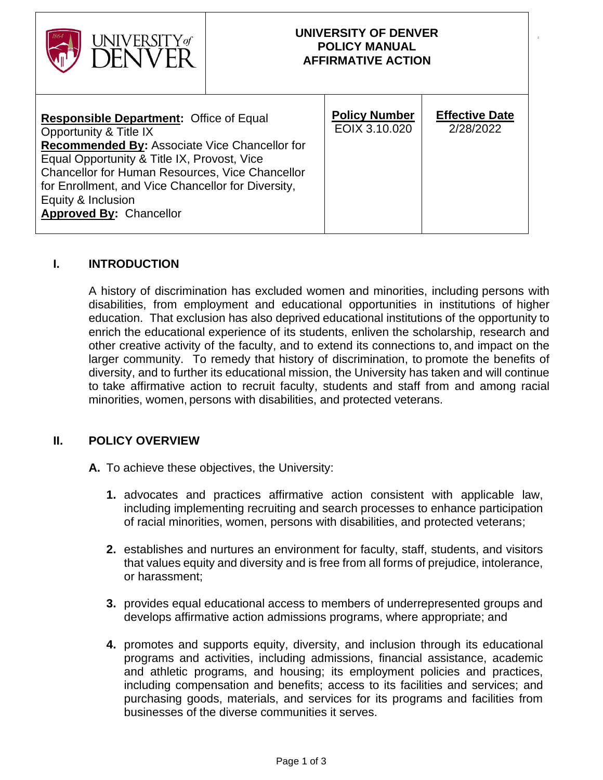| UNIVERSITY of                                                                                                                                                                                                                                                                                                                                    |  | UNIVERSITY OF DENVER<br><b>POLICY MANUAL</b><br><b>AFFIRMATIVE ACTION</b> |                                    |
|--------------------------------------------------------------------------------------------------------------------------------------------------------------------------------------------------------------------------------------------------------------------------------------------------------------------------------------------------|--|---------------------------------------------------------------------------|------------------------------------|
| <b>Responsible Department: Office of Equal</b><br>Opportunity & Title IX<br>Recommended By: Associate Vice Chancellor for<br>Equal Opportunity & Title IX, Provost, Vice<br><b>Chancellor for Human Resources, Vice Chancellor</b><br>for Enrollment, and Vice Chancellor for Diversity,<br>Equity & Inclusion<br><b>Approved By: Chancellor</b> |  | <b>Policy Number</b><br>EOIX 3.10.020                                     | <b>Effective Date</b><br>2/28/2022 |

# **I. INTRODUCTION**

A history of discrimination has excluded women and minorities, including persons with disabilities, from employment and educational opportunities in institutions of higher education. That exclusion has also deprived educational institutions of the opportunity to enrich the educational experience of its students, enliven the scholarship, research and other creative activity of the faculty, and to extend its connections to, and impact on the larger community. To remedy that history of discrimination, to promote the benefits of diversity, and to further its educational mission, the University has taken and will continue to take affirmative action to recruit faculty, students and staff from and among racial minorities, women, persons with disabilities, and protected veterans.

### **II. POLICY OVERVIEW**

- **A.** To achieve these objectives, the University:
	- **1.** advocates and practices affirmative action consistent with applicable law, including implementing recruiting and search processes to enhance participation of racial minorities, women, persons with disabilities, and protected veterans;
	- **2.** establishes and nurtures an environment for faculty, staff, students, and visitors that values equity and diversity and is free from all forms of prejudice, intolerance, or harassment;
	- **3.** provides equal educational access to members of underrepresented groups and develops affirmative action admissions programs, where appropriate; and
	- **4.** promotes and supports equity, diversity, and inclusion through its educational programs and activities, including admissions, financial assistance, academic and athletic programs, and housing; its employment policies and practices, including compensation and benefits; access to its facilities and services; and purchasing goods, materials, and services for its programs and facilities from businesses of the diverse communities it serves.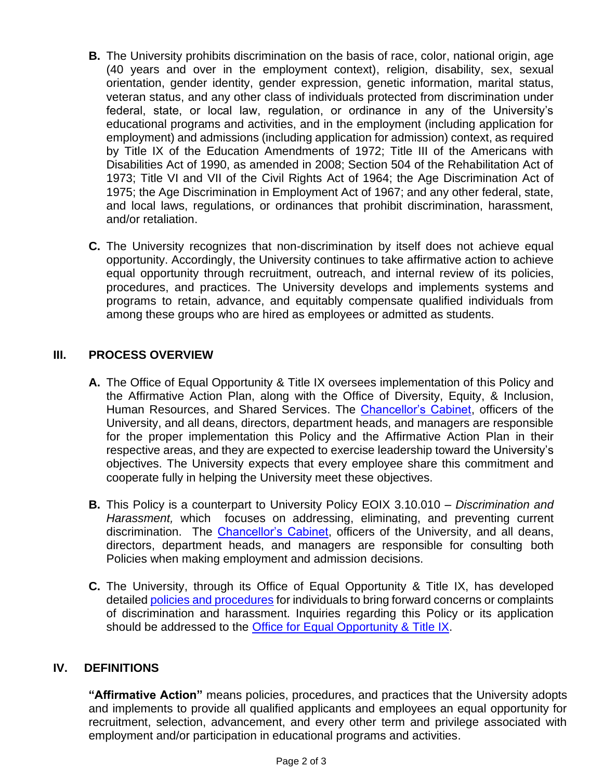- **B.** The University prohibits discrimination on the basis of race, color, national origin, age (40 years and over in the employment context), religion, disability, sex, sexual orientation, gender identity, gender expression, genetic information, marital status, veteran status, and any other class of individuals protected from discrimination under federal, state, or local law, regulation, or ordinance in any of the University's educational programs and activities, and in the employment (including application for employment) and admissions (including application for admission) context, as required by Title IX of the Education Amendments of 1972; Title III of the Americans with Disabilities Act of 1990, as amended in 2008; Section 504 of the Rehabilitation Act of 1973; Title VI and VII of the Civil Rights Act of 1964; the Age Discrimination Act of 1975; the Age Discrimination in Employment Act of 1967; and any other federal, state, and local laws, regulations, or ordinances that prohibit discrimination, harassment, and/or retaliation.
- **C.** The University recognizes that non-discrimination by itself does not achieve equal opportunity. Accordingly, the University continues to take affirmative action to achieve equal opportunity through recruitment, outreach, and internal review of its policies, procedures, and practices. The University develops and implements systems and programs to retain, advance, and equitably compensate qualified individuals from among these groups who are hired as employees or admitted as students.

# **III. PROCESS OVERVIEW**

- **A.** The Office of Equal Opportunity & Title IX oversees implementation of this Policy and the Affirmative Action Plan, along with the Office of Diversity, Equity, & Inclusion, Human Resources, and Shared Services. The [Chancellor's Cabinet,](https://www.du.edu/chancellor/chancellors-cabinet) officers of the University, and all deans, directors, department heads, and managers are responsible for the proper implementation this Policy and the Affirmative Action Plan in their respective areas, and they are expected to exercise leadership toward the University's objectives. The University expects that every employee share this commitment and cooperate fully in helping the University meet these objectives.
- **B.** This Policy is a counterpart to University Policy EOIX 3.10.010 *Discrimination and Harassment,* which focuses on addressing, eliminating, and preventing current discrimination. The [Chancellor's Cabinet,](https://www.du.edu/chancellor/chancellors-cabinet) officers of the University, and all deans, directors, department heads, and managers are responsible for consulting both Policies when making employment and admission decisions.
- **C.** The University, through its Office of Equal Opportunity & Title IX, has developed detaile[d policies and procedures](https://www.du.edu/equalopportunity/policies-procedures) for individuals to bring forward concerns or complaints of discrimination and harassment. Inquiries regarding this Policy or its application should be addressed to the [Office for Equal Opportunity &](https://www.du.edu/equalopportunity/equal-pay-pay-equity) Title IX.

### **IV. DEFINITIONS**

**"Affirmative Action"** means policies, procedures, and practices that the University adopts and implements to provide all qualified applicants and employees an equal opportunity for recruitment, selection, advancement, and every other term and privilege associated with employment and/or participation in educational programs and activities.